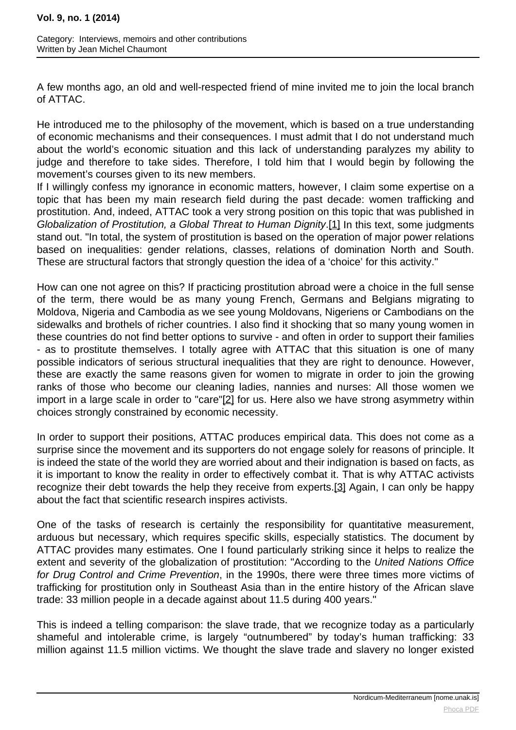<span id="page-0-0"></span>A few months ago, an old and well-respected friend of mine invited me to join the local branch of ATTAC.

He introduced me to the philosophy of the movement, which is based on a true understanding of economic mechanisms and their consequences. I must admit that I do not understand much about the world's economic situation and this lack of understanding paralyzes my ability to judge and therefore to take sides. Therefore, I told him that I would begin by following the movement's courses given to its new members.

If I willingly confess my ignorance in economic matters, however, I claim some expertise on a topic that has been my main research field during the past decade: women trafficking and prostitution. And, indeed, ATTAC took a very strong position on this topic that was published in Globalization of Prostitution, a Global Threat to Human Dignity[.\[1\]](#page-0-0) In this text, some judgments stand out. "In total, the system of prostitution is based on the operation of major power relations based on inequalities: gender relations, classes, relations of domination North and South. These are structural factors that strongly question the idea of a 'choice' for this activity."

How can one not agree on this? If practicing prostitution abroad were a choice in the full sense of the term, there would be as many young French, Germans and Belgians migrating to Moldova, Nigeria and Cambodia as we see young Moldovans, Nigeriens or Cambodians on the sidewalks and brothels of richer countries. I also find it shocking that so many young women in these countries do not find better options to survive - and often in order to support their families - as to prostitute themselves. I totally agree with ATTAC that this situation is one of many possible indicators of serious structural inequalities that they are right to denounce. However, these are exactly the same reasons given for women to migrate in order to join the growing ranks of those who become our cleaning ladies, nannies and nurses: All those women we import in a large scale in order to "car[e"\[2](#page-0-0)] for us. Here also we have strong asymmetry within choices strongly constrained by economic necessity.

In order to support their positions, ATTAC produces empirical data. This does not come as a surprise since the movement and its supporters do not engage solely for reasons of principle. It is indeed the state of the world they are worried about and their indignation is based on facts, as it is important to know the reality in order to effectively combat it. That is why ATTAC activists recognize their debt towards the help they receive from expert[s.\[3](#page-0-0)] Again, I can only be happy about the fact that scientific research inspires activists.

One of the tasks of research is certainly the responsibility for quantitative measurement, arduous but necessary, which requires specific skills, especially statistics. The document by ATTAC provides many estimates. One I found particularly striking since it helps to realize the extent and severity of the globalization of prostitution: "According to the United Nations Office for Drug Control and Crime Prevention, in the 1990s, there were three times more victims of trafficking for prostitution only in Southeast Asia than in the entire history of the African slave trade: 33 million people in a decade against about 11.5 during 400 years."

This is indeed a telling comparison: the slave trade, that we recognize today as a particularly shameful and intolerable crime, is largely "outnumbered" by today's human trafficking: 33 million against 11.5 million victims. We thought the slave trade and slavery no longer existed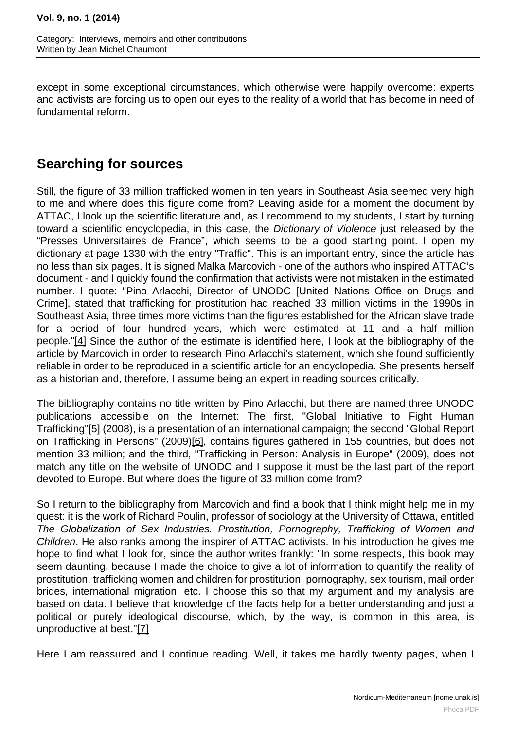<span id="page-1-0"></span>except in some exceptional circumstances, which otherwise were happily overcome: experts and activists are forcing us to open our eyes to the reality of a world that has become in need of fundamental reform.

# **Searching for sources**

Still, the figure of 33 million trafficked women in ten years in Southeast Asia seemed very high to me and where does this figure come from? Leaving aside for a moment the document by ATTAC, I look up the scientific literature and, as I recommend to my students, I start by turning toward a scientific encyclopedia, in this case, the Dictionary of Violence just released by the "Presses Universitaires de France", which seems to be a good starting point. I open my dictionary at page 1330 with the entry "Traffic". This is an important entry, since the article has no less than six pages. It is signed Malka Marcovich - one of the authors who inspired ATTAC's document - and I quickly found the confirmation that activists were not mistaken in the estimated number. I quote: "Pino Arlacchi, Director of UNODC [United Nations Office on Drugs and Crime], stated that trafficking for prostitution had reached 33 million victims in the 1990s in Southeast Asia, three times more victims than the figures established for the African slave trade for a period of four hundred years, which were estimated at 11 and a half million people.["\[4\]](#page-1-0) Since the author of the estimate is identified here, I look at the bibliography of the article by Marcovich in order to research Pino Arlacchi's statement, which she found sufficiently reliable in order to be reproduced in a scientific article for an encyclopedia. She presents herself as a historian and, therefore, I assume being an expert in reading sources critically.

The bibliography contains no title written by Pino Arlacchi, but there are named three UNODC publications accessible on the Internet: The first, "Global Initiative to Fight Human Trafficking["\[5\]](#page-1-0) (2008), is a presentation of an international campaign; the second "Global Report on Trafficking in Persons" (200[9\)\[6](#page-1-0)], contains figures gathered in 155 countries, but does not mention 33 million; and the third, "Trafficking in Person: Analysis in Europe" (2009), does not match any title on the website of UNODC and I suppose it must be the last part of the report devoted to Europe. But where does the figure of 33 million come from?

So I return to the bibliography from Marcovich and find a book that I think might help me in my quest: it is the work of Richard Poulin, professor of sociology at the University of Ottawa, entitled The Globalization of Sex Industries. Prostitution, Pornography, Trafficking of Women and Children. He also ranks among the inspirer of ATTAC activists. In his introduction he gives me hope to find what I look for, since the author writes frankly: "In some respects, this book may seem daunting, because I made the choice to give a lot of information to quantify the reality of prostitution, trafficking women and children for prostitution, pornography, sex tourism, mail order brides, international migration, etc. I choose this so that my argument and my analysis are based on data. I believe that knowledge of the facts help for a better understanding and just a political or purely ideological discourse, which, by the way, is common in this area, is unproductive at best.["\[7\]](#page-1-0)

Here I am reassured and I continue reading. Well, it takes me hardly twenty pages, when I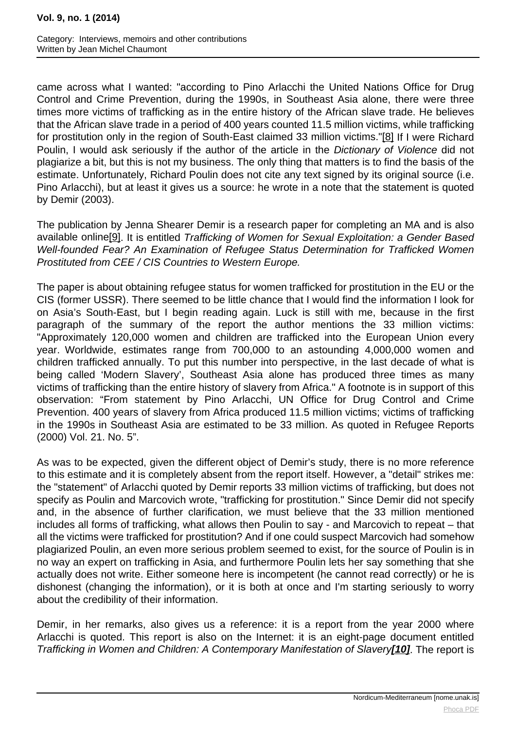<span id="page-2-0"></span>came across what I wanted: "according to Pino Arlacchi the United Nations Office for Drug Control and Crime Prevention, during the 1990s, in Southeast Asia alone, there were three times more victims of trafficking as in the entire history of the African slave trade. He believes that the African slave trade in a period of 400 years counted 11.5 million victims, while trafficking for prostitution only in the region of South-East claimed 33 million victims[."\[8](#page-2-0)] If I were Richard Poulin, I would ask seriously if the author of the article in the Dictionary of Violence did not plagiarize a bit, but this is not my business. The only thing that matters is to find the basis of the estimate. Unfortunately, Richard Poulin does not cite any text signed by its original source (i.e. Pino Arlacchi), but at least it gives us a source: he wrote in a note that the statement is quoted by Demir (2003).

The publication by Jenna Shearer Demir is a research paper for completing an MA and is also available onlin[e\[9\]](#page-2-0). It is entitled Trafficking of Women for Sexual Exploitation: a Gender Based Well-founded Fear? An Examination of Refugee Status Determination for Trafficked Women Prostituted from CEE / CIS Countries to Western Europe.

The paper is about obtaining refugee status for women trafficked for prostitution in the EU or the CIS (former USSR). There seemed to be little chance that I would find the information I look for on Asia's South-East, but I begin reading again. Luck is still with me, because in the first paragraph of the summary of the report the author mentions the 33 million victims: "Approximately 120,000 women and children are trafficked into the European Union every year. Worldwide, estimates range from 700,000 to an astounding 4,000,000 women and children trafficked annually. To put this number into perspective, in the last decade of what is being called 'Modern Slavery', Southeast Asia alone has produced three times as many victims of trafficking than the entire history of slavery from Africa." A footnote is in support of this observation: "From statement by Pino Arlacchi, UN Office for Drug Control and Crime Prevention. 400 years of slavery from Africa produced 11.5 million victims; victims of trafficking in the 1990s in Southeast Asia are estimated to be 33 million. As quoted in Refugee Reports (2000) Vol. 21. No. 5".

As was to be expected, given the different object of Demir's study, there is no more reference to this estimate and it is completely absent from the report itself. However, a "detail" strikes me: the "statement" of Arlacchi quoted by Demir reports 33 million victims of trafficking, but does not specify as Poulin and Marcovich wrote, "trafficking for prostitution." Since Demir did not specify and, in the absence of further clarification, we must believe that the 33 million mentioned includes all forms of trafficking, what allows then Poulin to say - and Marcovich to repeat – that all the victims were trafficked for prostitution? And if one could suspect Marcovich had somehow plagiarized Poulin, an even more serious problem seemed to exist, for the source of Poulin is in no way an expert on trafficking in Asia, and furthermore Poulin lets her say something that she actually does not write. Either someone here is incompetent (he cannot read correctly) or he is dishonest (changing the information), or it is both at once and I'm starting seriously to worry about the credibility of their information.

Demir, in her remarks, also gives us a reference: it is a report from the year 2000 where Arlacchi is quoted. This report is also on the Internet: it is an eight-page document entitled Trafficking in Women and Children: A Contemporary Manifestation of Slavery**[\[10\]](#page-2-0)**. The report is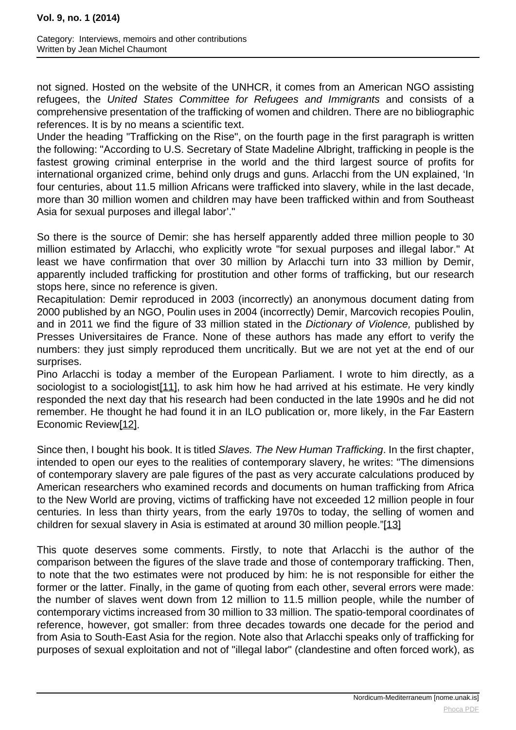<span id="page-3-0"></span>not signed. Hosted on the website of the UNHCR, it comes from an American NGO assisting refugees, the United States Committee for Refugees and Immigrants and consists of a comprehensive presentation of the trafficking of women and children. There are no bibliographic references. It is by no means a scientific text.

Under the heading "Trafficking on the Rise", on the fourth page in the first paragraph is written the following: "According to U.S. Secretary of State Madeline Albright, trafficking in people is the fastest growing criminal enterprise in the world and the third largest source of profits for international organized crime, behind only drugs and guns. Arlacchi from the UN explained, 'In four centuries, about 11.5 million Africans were trafficked into slavery, while in the last decade, more than 30 million women and children may have been trafficked within and from Southeast Asia for sexual purposes and illegal labor'."

So there is the source of Demir: she has herself apparently added three million people to 30 million estimated by Arlacchi, who explicitly wrote "for sexual purposes and illegal labor." At least we have confirmation that over 30 million by Arlacchi turn into 33 million by Demir, apparently included trafficking for prostitution and other forms of trafficking, but our research stops here, since no reference is given.

Recapitulation: Demir reproduced in 2003 (incorrectly) an anonymous document dating from 2000 published by an NGO, Poulin uses in 2004 (incorrectly) Demir, Marcovich recopies Poulin, and in 2011 we find the figure of 33 million stated in the Dictionary of Violence, published by Presses Universitaires de France. None of these authors has made any effort to verify the numbers: they just simply reproduced them uncritically. But we are not yet at the end of our surprises.

Pino Arlacchi is today a member of the European Parliament. I wrote to him directly, as a sociologist to a sociologist<sup>[11]</sup>, to ask him how he had arrived at his estimate. He very kindly responded the next day that his research had been conducted in the late 1990s and he did not remember. He thought he had found it in an ILO publication or, more likely, in the Far Eastern Economic Review[\[12\].](#page-3-0)

Since then, I bought his book. It is titled Slaves. The New Human Trafficking. In the first chapter, intended to open our eyes to the realities of contemporary slavery, he writes: "The dimensions of contemporary slavery are pale figures of the past as very accurate calculations produced by American researchers who examined records and documents on human trafficking from Africa to the New World are proving, victims of trafficking have not exceeded 12 million people in four centuries. In less than thirty years, from the early 1970s to today, the selling of women and children for sexual slavery in Asia is estimated at around 30 million people."[\[13\]](#page-3-0)

This quote deserves some comments. Firstly, to note that Arlacchi is the author of the comparison between the figures of the slave trade and those of contemporary trafficking. Then, to note that the two estimates were not produced by him: he is not responsible for either the former or the latter. Finally, in the game of quoting from each other, several errors were made: the number of slaves went down from 12 million to 11.5 million people, while the number of contemporary victims increased from 30 million to 33 million. The spatio-temporal coordinates of reference, however, got smaller: from three decades towards one decade for the period and from Asia to South-East Asia for the region. Note also that Arlacchi speaks only of trafficking for purposes of sexual exploitation and not of "illegal labor" (clandestine and often forced work), as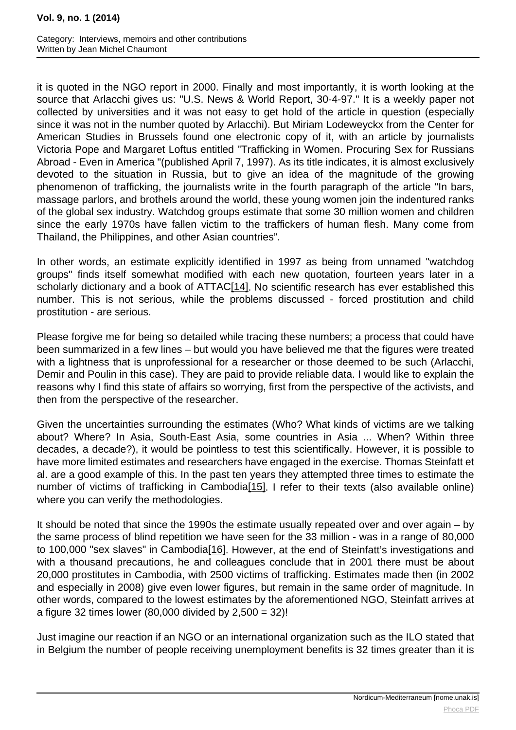<span id="page-4-0"></span>it is quoted in the NGO report in 2000. Finally and most importantly, it is worth looking at the source that Arlacchi gives us: "U.S. News & World Report, 30-4-97." It is a weekly paper not collected by universities and it was not easy to get hold of the article in question (especially since it was not in the number quoted by Arlacchi). But Miriam Lodeweyckx from the Center for American Studies in Brussels found one electronic copy of it, with an article by journalists Victoria Pope and Margaret Loftus entitled "Trafficking in Women. Procuring Sex for Russians Abroad - Even in America "(published April 7, 1997). As its title indicates, it is almost exclusively devoted to the situation in Russia, but to give an idea of the magnitude of the growing phenomenon of trafficking, the journalists write in the fourth paragraph of the article "In bars, massage parlors, and brothels around the world, these young women join the indentured ranks of the global sex industry. Watchdog groups estimate that some 30 million women and children since the early 1970s have fallen victim to the traffickers of human flesh. Many come from Thailand, the Philippines, and other Asian countries".

In other words, an estimate explicitly identified in 1997 as being from unnamed "watchdog groups" finds itself somewhat modified with each new quotation, fourteen years later in a scholarly dictionary and a book of ATTA[C\[14](#page-4-0)]. No scientific research has ever established this number. This is not serious, while the problems discussed - forced prostitution and child prostitution - are serious.

Please forgive me for being so detailed while tracing these numbers; a process that could have been summarized in a few lines – but would you have believed me that the figures were treated with a lightness that is unprofessional for a researcher or those deemed to be such (Arlacchi, Demir and Poulin in this case). They are paid to provide reliable data. I would like to explain the reasons why I find this state of affairs so worrying, first from the perspective of the activists, and then from the perspective of the researcher.

Given the uncertainties surrounding the estimates (Who? What kinds of victims are we talking about? Where? In Asia, South-East Asia, some countries in Asia ... When? Within three decades, a decade?), it would be pointless to test this scientifically. However, it is possible to have more limited estimates and researchers have engaged in the exercise. Thomas Steinfatt et al. are a good example of this. In the past ten years they attempted three times to estimate the number of victims of trafficking in Cambodia<sup>[15]</sup>. I refer to their texts (also available online) where you can verify the methodologies.

It should be noted that since the 1990s the estimate usually repeated over and over again – by the same process of blind repetition we have seen for the 33 million - was in a range of 80,000 to 100,000 "sex slaves" in Cambodia<sup>[16]</sup>. However, at the end of Steinfatt's investigations and with a thousand precautions, he and colleagues conclude that in 2001 there must be about 20,000 prostitutes in Cambodia, with 2500 victims of trafficking. Estimates made then (in 2002 and especially in 2008) give even lower figures, but remain in the same order of magnitude. In other words, compared to the lowest estimates by the aforementioned NGO, Steinfatt arrives at a figure 32 times lower  $(80,000 \text{ divided by } 2.500 = 32)!$ 

Just imagine our reaction if an NGO or an international organization such as the ILO stated that in Belgium the number of people receiving unemployment benefits is 32 times greater than it is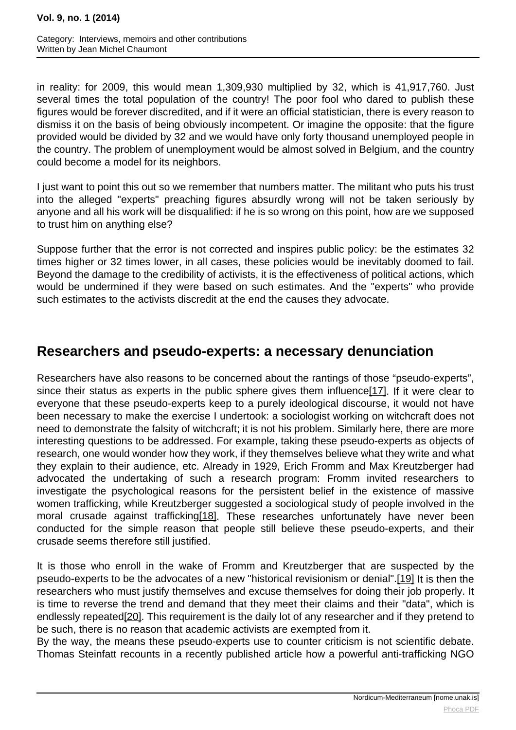<span id="page-5-0"></span>in reality: for 2009, this would mean 1,309,930 multiplied by 32, which is 41,917,760. Just several times the total population of the country! The poor fool who dared to publish these figures would be forever discredited, and if it were an official statistician, there is every reason to dismiss it on the basis of being obviously incompetent. Or imagine the opposite: that the figure provided would be divided by 32 and we would have only forty thousand unemployed people in the country. The problem of unemployment would be almost solved in Belgium, and the country could become a model for its neighbors.

I just want to point this out so we remember that numbers matter. The militant who puts his trust into the alleged "experts" preaching figures absurdly wrong will not be taken seriously by anyone and all his work will be disqualified: if he is so wrong on this point, how are we supposed to trust him on anything else?

Suppose further that the error is not corrected and inspires public policy: be the estimates 32 times higher or 32 times lower, in all cases, these policies would be inevitably doomed to fail. Beyond the damage to the credibility of activists, it is the effectiveness of political actions, which would be undermined if they were based on such estimates. And the "experts" who provide such estimates to the activists discredit at the end the causes they advocate.

# **Researchers and pseudo-experts: a necessary denunciation**

Researchers have also reasons to be concerned about the rantings of those "pseudo-experts", since their status as experts in the public sphere gives them influe[nce\[1](#page-5-0)7]. If it were clear to everyone that these pseudo-experts keep to a purely ideological discourse, it would not have been necessary to make the exercise I undertook: a sociologist working on witchcraft does not need to demonstrate the falsity of witchcraft; it is not his problem. Similarly here, there are more interesting questions to be addressed. For example, taking these pseudo-experts as objects of research, one would wonder how they work, if they themselves believe what they write and what they explain to their audience, etc. Already in 1929, Erich Fromm and Max Kreutzberger had advocated the undertaking of such a research program: Fromm invited researchers to investigate the psychological reasons for the persistent belief in the existence of massive women trafficking, while Kreutzberger suggested a sociological study of people involved in the moral crusade against traffick[ing\[1](#page-5-0)8]. These researches unfortunately have never been conducted for the simple reason that people still believe these pseudo-experts, and their crusade seems therefore still justified.

It is those who enroll in the wake of Fromm and Kreutzberger that are suspected by the pseudo-experts to be the advocates of a new "historical revisionism or denial"[.\[19\]](#page-5-0) It is then the researchers who must justify themselves and excuse themselves for doing their job properly. It is time to reverse the trend and demand that they meet their claims and their "data", which is endlessly repeated<sup>[20]</sup>. This requirement is the daily lot of any researcher and if they pretend to be such, there is no reason that academic activists are exempted from it.

By the way, the means these pseudo-experts use to counter criticism is not scientific debate. Thomas Steinfatt recounts in a recently published article how a powerful anti-trafficking NGO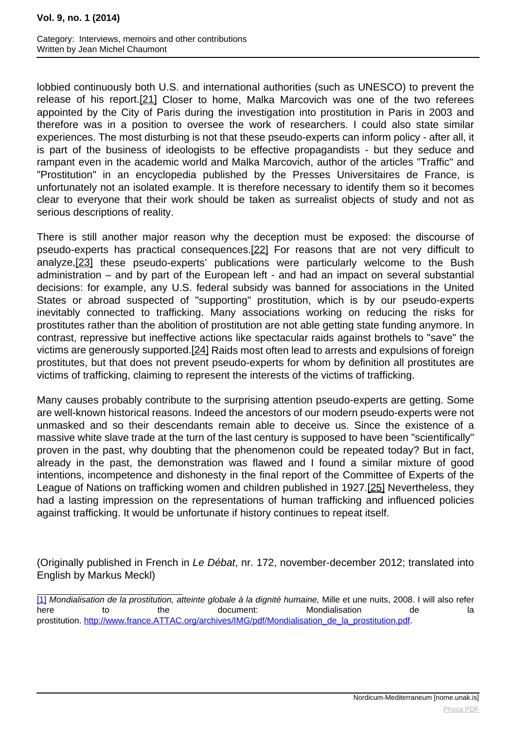<span id="page-6-0"></span>lobbied continuously both U.S. and international authorities (such as UNESCO) to prevent the release of his repo[rt.\[21](#page-6-0)] Closer to home, Malka Marcovich was one of the two referees appointed by the City of Paris during the investigation into prostitution in Paris in 2003 and therefore was in a position to oversee the work of researchers. I could also state similar experiences. The most disturbing is not that these pseudo-experts can inform policy - after all, it is part of the business of ideologists to be effective propagandists - but they seduce and rampant even in the academic world and Malka Marcovich, author of the articles "Traffic" and "Prostitution" in an encyclopedia published by the Presses Universitaires de France, is unfortunately not an isolated example. It is therefore necessary to identify them so it becomes clear to everyone that their work should be taken as surrealist objects of study and not as serious descriptions of reality.

There is still another major reason why the deception must be exposed: the discourse of pseudo-experts has practical consequenc[es.\[22](#page-6-0)] For reasons that are not very difficult to analyze[,\[23\]](#page-6-0) these pseudo-experts' publications were particularly welcome to the Bush administration – and by part of the European left - and had an impact on several substantial decisions: for example, any U.S. federal subsidy was banned for associations in the United States or abroad suspected of "supporting" prostitution, which is by our pseudo-experts inevitably connected to trafficking. Many associations working on reducing the risks for prostitutes rather than the abolition of prostitution are not able getting state funding anymore. In contrast, repressive but ineffective actions like spectacular raids against brothels to "save" the victims are generously supported.[\[24\]](#page-6-0) Raids most often lead to arrests and expulsions of foreign prostitutes, but that does not prevent pseudo-experts for whom by definition all prostitutes are victims of trafficking, claiming to represent the interests of the victims of trafficking.

Many causes probably contribute to the surprising attention pseudo-experts are getting. Some are well-known historical reasons. Indeed the ancestors of our modern pseudo-experts were not unmasked and so their descendants remain able to deceive us. Since the existence of a massive white slave trade at the turn of the last century is supposed to have been "scientifically" proven in the past, why doubting that the phenomenon could be repeated today? But in fact, already in the past, the demonstration was flawed and I found a similar mixture of good intentions, incompetence and dishonesty in the final report of the Committee of Experts of the League of Nations on trafficking women and children published in 1927[.\[25\]](#page-6-0) Nevertheless, they had a lasting impression on the representations of human trafficking and influenced policies against trafficking. It would be unfortunate if history continues to repeat itself.

(Originally published in French in Le Débat, nr. 172, november-december 2012; translated into English by Markus Meckl)

[\[1\]](#page-6-0) Mondialisation de la prostitution, atteinte globale à la dignité humaine, Mille et une nuits, 2008. I will also refer here to the document: Mondialisation de la prostitution. [http://www.france.ATTAC.org/archives/IMG/pdf/Mondialisation\\_de\\_la\\_prostitution.pdf](http://www.france.ATTAC.org/archives/IMG/pdf/Mondialisation_de_la_prostitution.pdf).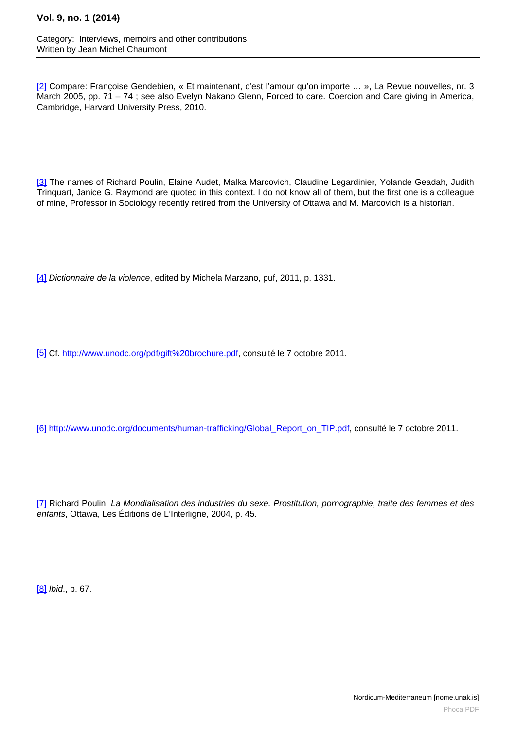<span id="page-7-0"></span>[\[2\]](#page-7-0) Compare: Françoise Gendebien, « Et maintenant, c'est l'amour qu'on importe ... », La Revue nouvelles, nr. 3 March 2005, pp. 71 – 74 ; see also Evelyn Nakano Glenn, Forced to care. Coercion and Care giving in America, Cambridge, Harvard University Press, 2010.

[\[3\]](#page-7-0) The names of Richard Poulin, Elaine Audet, Malka Marcovich, Claudine Legardinier, Yolande Geadah, Judith Trinquart, Janice G. Raymond are quoted in this context. I do not know all of them, but the first one is a colleague of mine, Professor in Sociology recently retired from the University of Ottawa and M. Marcovich is a historian.

[\[4\]](#page-7-0) Dictionnaire de la violence, edited by Michela Marzano, puf, 2011, p. 1331.

[\[5\]](#page-7-0) Cf. [http://www.unodc.org/pdf/gift%20brochure.pdf,](http://www.unodc.org/pdf/gift%20brochure.pdf) consulté le 7 octobre 2011.

[\[6\]](#page-7-0) [http://www.unodc.org/documents/human-trafficking/Global\\_Report\\_on\\_TIP.pdf](http://www.unodc.org/documents/human-trafficking/Global_Report_on_TIP.pdf), consulté le 7 octobre 2011.

[\[7\]](#page-7-0) Richard Poulin, La Mondialisation des industries du sexe. Prostitution, pornographie, traite des femmes et des enfants, Ottawa, Les Éditions de L'Interligne, 2004, p. 45.

[\[8\]](#page-7-0) Ibid., p. 67.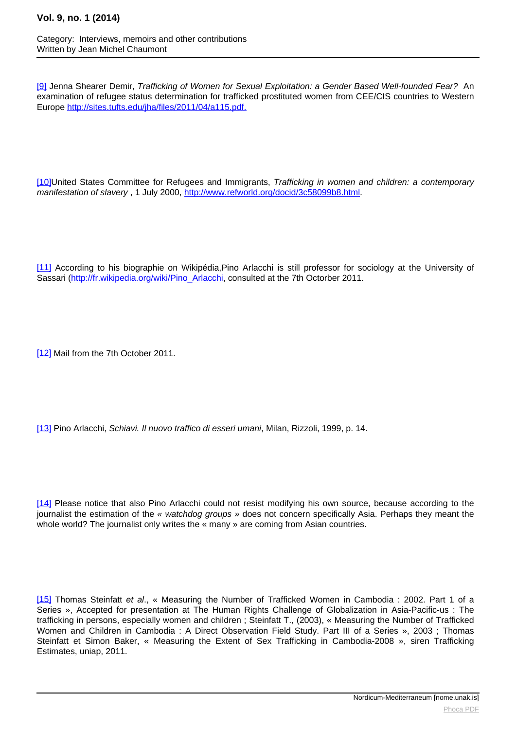<span id="page-8-0"></span>[\[9\]](#page-8-0) Jenna Shearer Demir, Trafficking of Women for Sexual Exploitation: a Gender Based Well-founded Fear? An examination of refugee status determination for trafficked prostituted women from CEE/CIS countries to Western Europe <http://sites.tufts.edu/jha/files/2011/04/a115.pdf.>

[\[10\]](#page-8-0)United States Committee for Refugees and Immigrants, Trafficking in women and children: a contemporary manifestation of slavery , 1 July 2000, <http://www.refworld.org/docid/3c58099b8.html>.

[\[11\]](#page-8-0) According to his biographie on Wikipédia,Pino Arlacchi is still professor for sociology at the University of Sassari ([http://fr.wikipedia.org/wiki/Pino\\_Arlacchi,](http://fr.wikipedia.org/wiki/Pino_Arlacchi) consulted at the 7th Octorber 2011.

[\[12\]](#page-8-0) Mail from the 7th October 2011.

[\[13\]](#page-8-0) Pino Arlacchi, Schiavi. Il nuovo traffico di esseri umani, Milan, Rizzoli, 1999, p. 14.

[\[14\]](#page-8-0) Please notice that also Pino Arlacchi could not resist modifying his own source, because according to the journalist the estimation of the « watchdog groups » does not concern specifically Asia. Perhaps they meant the whole world? The journalist only writes the « many » are coming from Asian countries.

[\[15\]](#page-8-0) Thomas Steinfatt et al., « Measuring the Number of Trafficked Women in Cambodia : 2002. Part 1 of a Series », Accepted for presentation at The Human Rights Challenge of Globalization in Asia-Pacific-us : The trafficking in persons, especially women and children ; Steinfatt T., (2003), « Measuring the Number of Trafficked Women and Children in Cambodia : A Direct Observation Field Study. Part III of a Series », 2003 ; Thomas Steinfatt et Simon Baker, « Measuring the Extent of Sex Trafficking in Cambodia-2008 », siren Trafficking Estimates, uniap, 2011.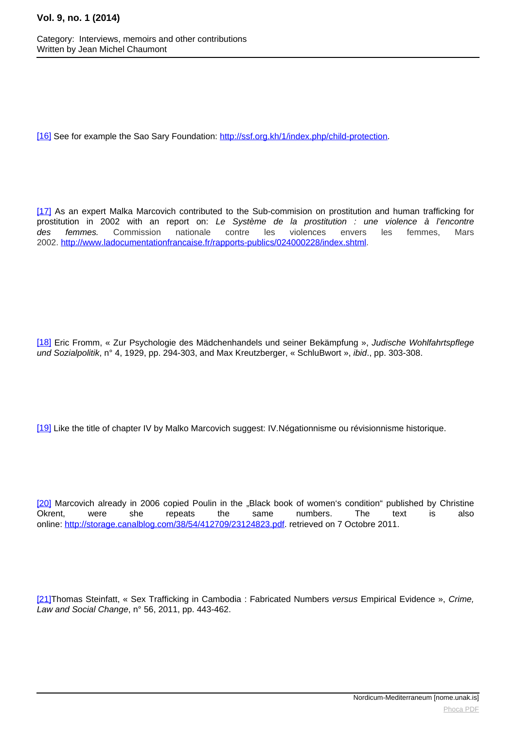<span id="page-9-0"></span>[\[16\]](#page-9-0) See for example the Sao Sary Foundation: <http://ssf.org.kh/1/index.php/child-protection>.

[\[17\]](#page-9-0) As an expert Malka Marcovich contributed to the Sub-commision on prostitution and human trafficking for prostitution in 2002 with an report on: Le Système de la prostitution : une violence à l'encontre des femmes. Commission nationale contre les violences envers les femmes, Mars 2002. [http://www.ladocumentationfrancaise.fr/rapports-publics/024000228/index.shtml.](http://www.ladocumentationfrancaise.fr/rapports-publics/024000228/index.shtml)

[\[18\]](#page-9-0) Eric Fromm, « Zur Psychologie des Mädchenhandels und seiner Bekämpfung », Judische Wohlfahrtspflege und Sozialpolitik, n° 4, 1929, pp. 294-303, and Max Kreutzberger, « SchluBwort », ibid., pp. 303-308.

[\[19\]](#page-9-0) Like the title of chapter IV by Malko Marcovich suggest: IV.Négationnisme ou révisionnisme historique.

[\[20\]](#page-9-0) Marcovich already in 2006 copied Poulin in the "Black book of women's condition" published by Christine Okrent, were she repeats the same numbers. The text is also online: <http://storage.canalblog.com/38/54/412709/23124823.pdf>. retrieved on 7 Octobre 2011.

[\[21\]](#page-9-0)Thomas Steinfatt, « Sex Trafficking in Cambodia : Fabricated Numbers versus Empirical Evidence », Crime, Law and Social Change, n° 56, 2011, pp. 443-462.